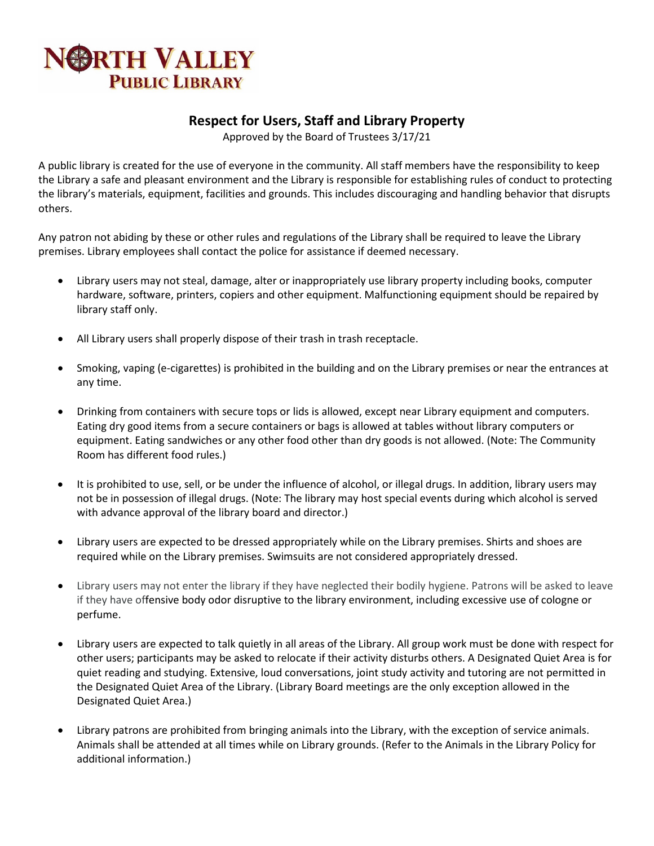## **BRTH VALLEY PUBLIC LIBRARY**

## **Respect for Users, Staff and Library Property**

Approved by the Board of Trustees 3/17/21

A public library is created for the use of everyone in the community. All staff members have the responsibility to keep the Library a safe and pleasant environment and the Library is responsible for establishing rules of conduct to protecting the library's materials, equipment, facilities and grounds. This includes discouraging and handling behavior that disrupts others.

Any patron not abiding by these or other rules and regulations of the Library shall be required to leave the Library premises. Library employees shall contact the police for assistance if deemed necessary.

- Library users may not steal, damage, alter or inappropriately use library property including books, computer hardware, software, printers, copiers and other equipment. Malfunctioning equipment should be repaired by library staff only.
- All Library users shall properly dispose of their trash in trash receptacle.
- Smoking, vaping (e-cigarettes) is prohibited in the building and on the Library premises or near the entrances at any time.
- Drinking from containers with secure tops or lids is allowed, except near Library equipment and computers. Eating dry good items from a secure containers or bags is allowed at tables without library computers or equipment. Eating sandwiches or any other food other than dry goods is not allowed. (Note: The Community Room has different food rules.)
- It is prohibited to use, sell, or be under the influence of alcohol, or illegal drugs. In addition, library users may not be in possession of illegal drugs. (Note: The library may host special events during which alcohol is served with advance approval of the library board and director.)
- Library users are expected to be dressed appropriately while on the Library premises. Shirts and shoes are required while on the Library premises. Swimsuits are not considered appropriately dressed.
- Library users may not enter the library if they have neglected their bodily hygiene. Patrons will be asked to leave if they have offensive body odor disruptive to the library environment, including excessive use of cologne or perfume.
- Library users are expected to talk quietly in all areas of the Library. All group work must be done with respect for other users; participants may be asked to relocate if their activity disturbs others. A Designated Quiet Area is for quiet reading and studying. Extensive, loud conversations, joint study activity and tutoring are not permitted in the Designated Quiet Area of the Library. (Library Board meetings are the only exception allowed in the Designated Quiet Area.)
- Library patrons are prohibited from bringing animals into the Library, with the exception of service animals. Animals shall be attended at all times while on Library grounds. (Refer to the Animals in the Library Policy for additional information.)